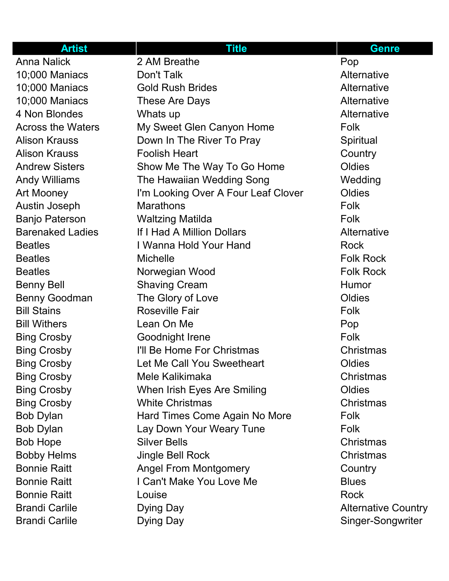| <b>Artist</b>            | <b>Title</b>                        | <b>Genre</b>               |
|--------------------------|-------------------------------------|----------------------------|
| <b>Anna Nalick</b>       | 2 AM Breathe                        | Pop                        |
| 10;000 Maniacs           | Don't Talk                          | Alternative                |
| 10;000 Maniacs           | <b>Gold Rush Brides</b>             | Alternative                |
| 10;000 Maniacs           | These Are Days                      | Alternative                |
| 4 Non Blondes            | Whats up                            | Alternative                |
| <b>Across the Waters</b> | My Sweet Glen Canyon Home           | Folk                       |
| <b>Alison Krauss</b>     | Down In The River To Pray           | Spiritual                  |
| <b>Alison Krauss</b>     | <b>Foolish Heart</b>                | Country                    |
| <b>Andrew Sisters</b>    | Show Me The Way To Go Home          | Oldies                     |
| <b>Andy Williams</b>     | The Hawaiian Wedding Song           | Wedding                    |
| Art Mooney               | I'm Looking Over A Four Leaf Clover | Oldies                     |
| <b>Austin Joseph</b>     | <b>Marathons</b>                    | Folk                       |
| <b>Banjo Paterson</b>    | <b>Waltzing Matilda</b>             | Folk                       |
| <b>Barenaked Ladies</b>  | If I Had A Million Dollars          | Alternative                |
| <b>Beatles</b>           | I Wanna Hold Your Hand              | <b>Rock</b>                |
| <b>Beatles</b>           | <b>Michelle</b>                     | <b>Folk Rock</b>           |
| <b>Beatles</b>           | Norwegian Wood                      | <b>Folk Rock</b>           |
| <b>Benny Bell</b>        | <b>Shaving Cream</b>                | Humor                      |
| <b>Benny Goodman</b>     | The Glory of Love                   | Oldies                     |
| <b>Bill Stains</b>       | <b>Roseville Fair</b>               | Folk                       |
| <b>Bill Withers</b>      | Lean On Me                          | Pop                        |
| <b>Bing Crosby</b>       | Goodnight Irene                     | Folk                       |
| <b>Bing Crosby</b>       | I'll Be Home For Christmas          | Christmas                  |
| <b>Bing Crosby</b>       | Let Me Call You Sweetheart          | Oldies                     |
| <b>Bing Crosby</b>       | Mele Kalikimaka                     | Christmas                  |
| <b>Bing Crosby</b>       | When Irish Eyes Are Smiling         | Oldies                     |
| <b>Bing Crosby</b>       | <b>White Christmas</b>              | Christmas                  |
| <b>Bob Dylan</b>         | Hard Times Come Again No More       | Folk                       |
| <b>Bob Dylan</b>         | Lay Down Your Weary Tune            | Folk                       |
| <b>Bob Hope</b>          | <b>Silver Bells</b>                 | Christmas                  |
| <b>Bobby Helms</b>       | Jingle Bell Rock                    | Christmas                  |
| <b>Bonnie Raitt</b>      | <b>Angel From Montgomery</b>        | Country                    |
| <b>Bonnie Raitt</b>      | I Can't Make You Love Me            | <b>Blues</b>               |
| <b>Bonnie Raitt</b>      | Louise                              | <b>Rock</b>                |
| <b>Brandi Carlile</b>    | Dying Day                           | <b>Alternative Country</b> |
| <b>Brandi Carlile</b>    | Dying Day                           | Singer-Songwriter          |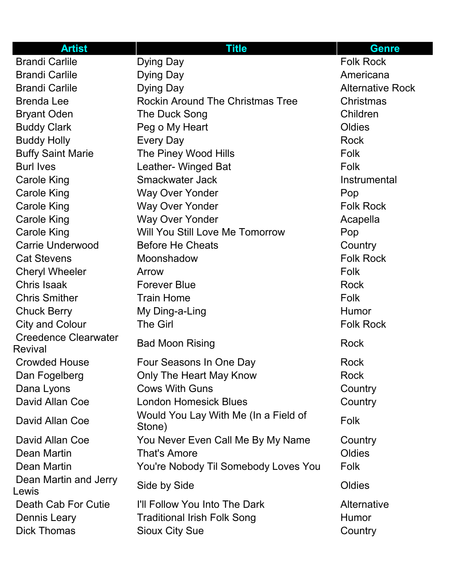| <b>Artist</b>                  | <b>Title</b>                                   | <b>Genre</b>            |
|--------------------------------|------------------------------------------------|-------------------------|
| <b>Brandi Carlile</b>          | <b>Dying Day</b>                               | <b>Folk Rock</b>        |
| <b>Brandi Carlile</b>          | Dying Day                                      | Americana               |
| <b>Brandi Carlile</b>          | Dying Day                                      | <b>Alternative Rock</b> |
| <b>Brenda Lee</b>              | <b>Rockin Around The Christmas Tree</b>        | Christmas               |
| <b>Bryant Oden</b>             | The Duck Song                                  | Children                |
| <b>Buddy Clark</b>             | Peg o My Heart                                 | Oldies                  |
| <b>Buddy Holly</b>             | <b>Every Day</b>                               | <b>Rock</b>             |
| <b>Buffy Saint Marie</b>       | The Piney Wood Hills                           | Folk                    |
| <b>Burl Ives</b>               | Leather- Winged Bat                            | Folk                    |
| <b>Carole King</b>             | Smackwater Jack                                | Instrumental            |
| <b>Carole King</b>             | <b>Way Over Yonder</b>                         | Pop                     |
| <b>Carole King</b>             | <b>Way Over Yonder</b>                         | <b>Folk Rock</b>        |
| <b>Carole King</b>             | <b>Way Over Yonder</b>                         | Acapella                |
| <b>Carole King</b>             | Will You Still Love Me Tomorrow                | Pop                     |
| <b>Carrie Underwood</b>        | <b>Before He Cheats</b>                        | Country                 |
| <b>Cat Stevens</b>             | Moonshadow                                     | <b>Folk Rock</b>        |
| <b>Cheryl Wheeler</b>          | Arrow                                          | Folk                    |
| Chris Isaak                    | <b>Forever Blue</b>                            | <b>Rock</b>             |
| <b>Chris Smither</b>           | <b>Train Home</b>                              | Folk                    |
| <b>Chuck Berry</b>             | My Ding-a-Ling                                 | Humor                   |
| <b>City and Colour</b>         | <b>The Girl</b>                                | <b>Folk Rock</b>        |
| <b>Creedence Clearwater</b>    | <b>Bad Moon Rising</b>                         | <b>Rock</b>             |
| <b>Revival</b>                 |                                                |                         |
| <b>Crowded House</b>           | Four Seasons In One Day                        | Rock                    |
| Dan Fogelberg                  | Only The Heart May Know                        | <b>Rock</b>             |
| Dana Lyons                     | <b>Cows With Guns</b>                          | Country                 |
| David Allan Coe                | <b>London Homesick Blues</b>                   | Country                 |
| David Allan Coe                | Would You Lay With Me (In a Field of<br>Stone) | <b>Folk</b>             |
| David Allan Coe                | You Never Even Call Me By My Name              | Country                 |
| Dean Martin                    | <b>That's Amore</b>                            | Oldies                  |
| Dean Martin                    | You're Nobody Til Somebody Loves You           | <b>Folk</b>             |
| Dean Martin and Jerry<br>Lewis | Side by Side                                   | Oldies                  |
| Death Cab For Cutie            | I'll Follow You Into The Dark                  | Alternative             |
| <b>Dennis Leary</b>            | <b>Traditional Irish Folk Song</b>             | <b>Humor</b>            |
| <b>Dick Thomas</b>             | <b>Sioux City Sue</b>                          | Country                 |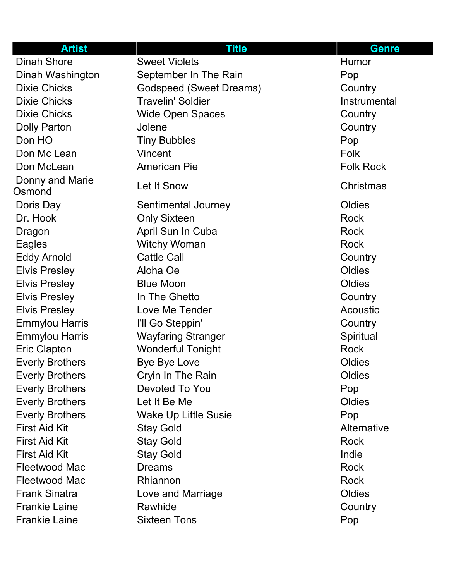| <b>Artist</b>             | <b>Title</b>                   | <b>Genre</b>     |
|---------------------------|--------------------------------|------------------|
| <b>Dinah Shore</b>        | <b>Sweet Violets</b>           | Humor            |
| Dinah Washington          | September In The Rain          | Pop              |
| <b>Dixie Chicks</b>       | <b>Godspeed (Sweet Dreams)</b> | Country          |
| <b>Dixie Chicks</b>       | <b>Travelin' Soldier</b>       | Instrumental     |
| <b>Dixie Chicks</b>       | <b>Wide Open Spaces</b>        | Country          |
| <b>Dolly Parton</b>       | Jolene                         | Country          |
| Don HO                    | <b>Tiny Bubbles</b>            | Pop              |
| Don Mc Lean               | Vincent                        | Folk             |
| Don McLean                | <b>American Pie</b>            | <b>Folk Rock</b> |
| Donny and Marie<br>Osmond | Let It Snow                    | <b>Christmas</b> |
| Doris Day                 | Sentimental Journey            | Oldies           |
| Dr. Hook                  | <b>Only Sixteen</b>            | <b>Rock</b>      |
| Dragon                    | April Sun In Cuba              | <b>Rock</b>      |
| Eagles                    | <b>Witchy Woman</b>            | <b>Rock</b>      |
| <b>Eddy Arnold</b>        | <b>Cattle Call</b>             | Country          |
| <b>Elvis Presley</b>      | Aloha Oe                       | Oldies           |
| <b>Elvis Presley</b>      | <b>Blue Moon</b>               | Oldies           |
| <b>Elvis Presley</b>      | In The Ghetto                  | Country          |
| <b>Elvis Presley</b>      | Love Me Tender                 | Acoustic         |
| <b>Emmylou Harris</b>     | I'll Go Steppin'               | Country          |
| <b>Emmylou Harris</b>     | <b>Wayfaring Stranger</b>      | Spiritual        |
| <b>Eric Clapton</b>       | <b>Wonderful Tonight</b>       | <b>Rock</b>      |
| <b>Everly Brothers</b>    | <b>Bye Bye Love</b>            | Oldies           |
| <b>Everly Brothers</b>    | Cryin In The Rain              | Oldies           |
| <b>Everly Brothers</b>    | Devoted To You                 | Pop              |
| <b>Everly Brothers</b>    | Let It Be Me                   | Oldies           |
| <b>Everly Brothers</b>    | <b>Wake Up Little Susie</b>    | Pop              |
| <b>First Aid Kit</b>      | <b>Stay Gold</b>               | Alternative      |
| <b>First Aid Kit</b>      | <b>Stay Gold</b>               | <b>Rock</b>      |
| <b>First Aid Kit</b>      | <b>Stay Gold</b>               | Indie            |
| <b>Fleetwood Mac</b>      | <b>Dreams</b>                  | <b>Rock</b>      |
| Fleetwood Mac             | Rhiannon                       | <b>Rock</b>      |
| <b>Frank Sinatra</b>      | Love and Marriage              | Oldies           |
| <b>Frankie Laine</b>      | Rawhide                        | Country          |
| <b>Frankie Laine</b>      | <b>Sixteen Tons</b>            | Pop              |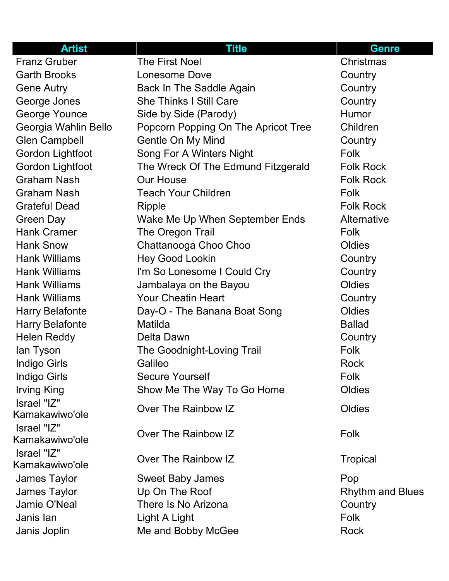| <b>Artist</b>                 | <b>Title</b>                        | <b>Genre</b>            |
|-------------------------------|-------------------------------------|-------------------------|
| <b>Franz Gruber</b>           | <b>The First Noel</b>               | Christmas               |
| <b>Garth Brooks</b>           | Lonesome Dove                       | Country                 |
| <b>Gene Autry</b>             | <b>Back In The Saddle Again</b>     | Country                 |
| George Jones                  | <b>She Thinks I Still Care</b>      | Country                 |
| <b>George Younce</b>          | Side by Side (Parody)               | Humor                   |
| Georgia Wahlin Bello          | Popcorn Popping On The Apricot Tree | Children                |
| <b>Glen Campbell</b>          | Gentle On My Mind                   | Country                 |
| Gordon Lightfoot              | Song For A Winters Night            | <b>Folk</b>             |
| <b>Gordon Lightfoot</b>       | The Wreck Of The Edmund Fitzgerald  | <b>Folk Rock</b>        |
| <b>Graham Nash</b>            | <b>Our House</b>                    | <b>Folk Rock</b>        |
| <b>Graham Nash</b>            | <b>Teach Your Children</b>          | Folk                    |
| <b>Grateful Dead</b>          | <b>Ripple</b>                       | <b>Folk Rock</b>        |
| <b>Green Day</b>              | Wake Me Up When September Ends      | Alternative             |
| <b>Hank Cramer</b>            | The Oregon Trail                    | Folk                    |
| <b>Hank Snow</b>              | Chattanooga Choo Choo               | Oldies                  |
| <b>Hank Williams</b>          | <b>Hey Good Lookin</b>              | Country                 |
| <b>Hank Williams</b>          | I'm So Lonesome I Could Cry         | Country                 |
| <b>Hank Williams</b>          | Jambalaya on the Bayou              | Oldies                  |
| <b>Hank Williams</b>          | <b>Your Cheatin Heart</b>           | Country                 |
| <b>Harry Belafonte</b>        | Day-O - The Banana Boat Song        | Oldies                  |
| <b>Harry Belafonte</b>        | Matilda                             | <b>Ballad</b>           |
| <b>Helen Reddy</b>            | Delta Dawn                          | Country                 |
| lan Tyson                     | The Goodnight-Loving Trail          | Folk                    |
| <b>Indigo Girls</b>           | Galileo                             | <b>Rock</b>             |
| Indigo Girls                  | <b>Secure Yourself</b>              | Folk                    |
| <b>Irving King</b>            | Show Me The Way To Go Home          | Oldies                  |
| Israel "IZ"<br>Kamakawiwo'ole | Over The Rainbow IZ                 | Oldies                  |
| Israel "IZ"<br>Kamakawiwo'ole | Over The Rainbow IZ                 | Folk                    |
| Israel "IZ"<br>Kamakawiwo'ole | Over The Rainbow IZ                 | <b>Tropical</b>         |
| <b>James Taylor</b>           | <b>Sweet Baby James</b>             | Pop                     |
| James Taylor                  | Up On The Roof                      | <b>Rhythm and Blues</b> |
| Jamie O'Neal                  | There Is No Arizona                 | Country                 |
| Janis lan                     | Light A Light                       | <b>Folk</b>             |
| Janis Joplin                  | Me and Bobby McGee                  | Rock                    |
|                               |                                     |                         |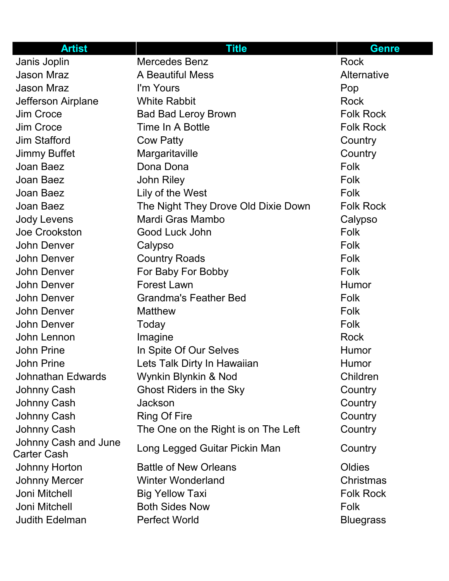| <b>Artist</b>                              | <b>Title</b>                        | <b>Genre</b>       |
|--------------------------------------------|-------------------------------------|--------------------|
| Janis Joplin                               | <b>Mercedes Benz</b>                | <b>Rock</b>        |
| <b>Jason Mraz</b>                          | A Beautiful Mess                    | <b>Alternative</b> |
| <b>Jason Mraz</b>                          | I'm Yours                           | Pop                |
| Jefferson Airplane                         | <b>White Rabbit</b>                 | <b>Rock</b>        |
| Jim Croce                                  | <b>Bad Bad Leroy Brown</b>          | <b>Folk Rock</b>   |
| Jim Croce                                  | Time In A Bottle                    | <b>Folk Rock</b>   |
| <b>Jim Stafford</b>                        | <b>Cow Patty</b>                    | Country            |
| <b>Jimmy Buffet</b>                        | Margaritaville                      | Country            |
| Joan Baez                                  | Dona Dona                           | Folk               |
| Joan Baez                                  | <b>John Riley</b>                   | Folk               |
| Joan Baez                                  | Lily of the West                    | Folk               |
| Joan Baez                                  | The Night They Drove Old Dixie Down | <b>Folk Rock</b>   |
| <b>Jody Levens</b>                         | Mardi Gras Mambo                    | Calypso            |
| Joe Crookston                              | Good Luck John                      | <b>Folk</b>        |
| John Denver                                | Calypso                             | Folk               |
| <b>John Denver</b>                         | <b>Country Roads</b>                | Folk               |
| John Denver                                | For Baby For Bobby                  | Folk               |
| <b>John Denver</b>                         | <b>Forest Lawn</b>                  | Humor              |
| <b>John Denver</b>                         | <b>Grandma's Feather Bed</b>        | Folk               |
| John Denver                                | <b>Matthew</b>                      | <b>Folk</b>        |
| John Denver                                | Today                               | Folk               |
| John Lennon                                | Imagine                             | <b>Rock</b>        |
| <b>John Prine</b>                          | In Spite Of Our Selves              | <b>Humor</b>       |
| John Prine                                 | Lets Talk Dirty In Hawaiian         | Humor              |
| Johnathan Edwards                          | Wynkin Blynkin & Nod                | Children           |
| <b>Johnny Cash</b>                         | <b>Ghost Riders in the Sky</b>      | Country            |
| Johnny Cash                                | Jackson                             | Country            |
| Johnny Cash                                | <b>Ring Of Fire</b>                 | Country            |
| Johnny Cash                                | The One on the Right is on The Left | Country            |
| Johnny Cash and June<br><b>Carter Cash</b> | Long Legged Guitar Pickin Man       | Country            |
| <b>Johnny Horton</b>                       | <b>Battle of New Orleans</b>        | Oldies             |
| <b>Johnny Mercer</b>                       | <b>Winter Wonderland</b>            | <b>Christmas</b>   |
| Joni Mitchell                              | <b>Big Yellow Taxi</b>              | <b>Folk Rock</b>   |
| Joni Mitchell                              | <b>Both Sides Now</b>               | Folk               |
| <b>Judith Edelman</b>                      | <b>Perfect World</b>                | <b>Bluegrass</b>   |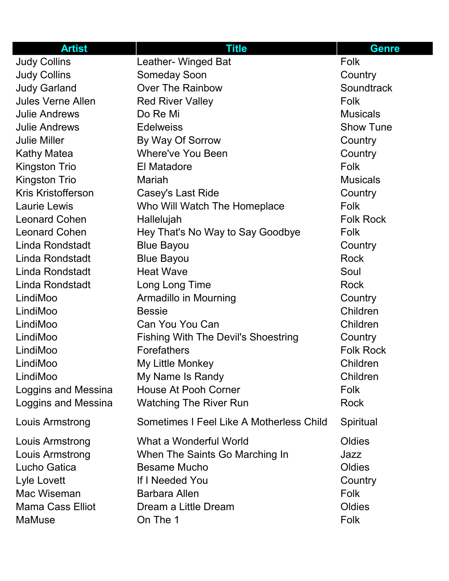| <b>Artist</b>             | <b>Title</b>                               | <b>Genre</b>     |
|---------------------------|--------------------------------------------|------------------|
| <b>Judy Collins</b>       | Leather- Winged Bat                        | Folk             |
| <b>Judy Collins</b>       | <b>Someday Soon</b>                        | Country          |
| <b>Judy Garland</b>       | Over The Rainbow                           | Soundtrack       |
| <b>Jules Verne Allen</b>  | <b>Red River Valley</b>                    | <b>Folk</b>      |
| <b>Julie Andrews</b>      | Do Re Mi                                   | <b>Musicals</b>  |
| <b>Julie Andrews</b>      | <b>Edelweiss</b>                           | <b>Show Tune</b> |
| <b>Julie Miller</b>       | By Way Of Sorrow                           | Country          |
| <b>Kathy Matea</b>        | <b>Where've You Been</b>                   | Country          |
| <b>Kingston Trio</b>      | <b>El Matadore</b>                         | <b>Folk</b>      |
| <b>Kingston Trio</b>      | Mariah                                     | <b>Musicals</b>  |
| <b>Kris Kristofferson</b> | Casey's Last Ride                          | Country          |
| <b>Laurie Lewis</b>       | Who Will Watch The Homeplace               | <b>Folk</b>      |
| <b>Leonard Cohen</b>      | Hallelujah                                 | <b>Folk Rock</b> |
| <b>Leonard Cohen</b>      | Hey That's No Way to Say Goodbye           | <b>Folk</b>      |
| Linda Rondstadt           | <b>Blue Bayou</b>                          | Country          |
| Linda Rondstadt           | <b>Blue Bayou</b>                          | <b>Rock</b>      |
| Linda Rondstadt           | <b>Heat Wave</b>                           | Soul             |
| Linda Rondstadt           | Long Long Time                             | <b>Rock</b>      |
| LindiMoo                  | <b>Armadillo in Mourning</b>               | Country          |
| LindiMoo                  | <b>Bessie</b>                              | Children         |
| LindiMoo                  | Can You You Can                            | Children         |
| LindiMoo                  | <b>Fishing With The Devil's Shoestring</b> | Country          |
| LindiMoo                  | Forefathers                                | <b>Folk Rock</b> |
| LindiMoo                  | My Little Monkey                           | Children         |
| LindiMoo                  | My Name Is Randy                           | Children         |
| Loggins and Messina       | <b>House At Pooh Corner</b>                | <b>Folk</b>      |
| Loggins and Messina       | <b>Watching The River Run</b>              | <b>Rock</b>      |
| Louis Armstrong           | Sometimes I Feel Like A Motherless Child   | Spiritual        |
| Louis Armstrong           | What a Wonderful World                     | Oldies           |
| Louis Armstrong           | When The Saints Go Marching In             | Jazz             |
| Lucho Gatica              | <b>Besame Mucho</b>                        | Oldies           |
| Lyle Lovett               | If I Needed You                            | Country          |
| Mac Wiseman               | <b>Barbara Allen</b>                       | <b>Folk</b>      |
| <b>Mama Cass Elliot</b>   | Dream a Little Dream                       | Oldies           |
| MaMuse                    | On The 1                                   | <b>Folk</b>      |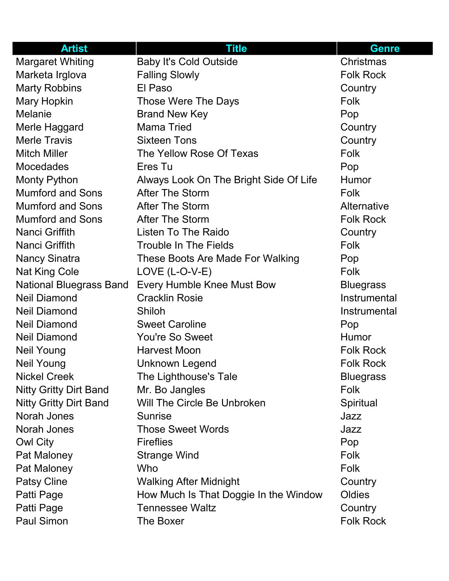| <b>Artist</b>                  | <b>Title</b>                           | <b>Genre</b>     |
|--------------------------------|----------------------------------------|------------------|
| <b>Margaret Whiting</b>        | <b>Baby It's Cold Outside</b>          | Christmas        |
| Marketa Irglova                | <b>Falling Slowly</b>                  | <b>Folk Rock</b> |
| <b>Marty Robbins</b>           | El Paso                                | Country          |
| Mary Hopkin                    | Those Were The Days                    | <b>Folk</b>      |
| <b>Melanie</b>                 | <b>Brand New Key</b>                   | Pop              |
| Merle Haggard                  | <b>Mama Tried</b>                      | Country          |
| <b>Merle Travis</b>            | <b>Sixteen Tons</b>                    | Country          |
| <b>Mitch Miller</b>            | The Yellow Rose Of Texas               | <b>Folk</b>      |
| <b>Mocedades</b>               | Eres Tu                                | Pop              |
| <b>Monty Python</b>            | Always Look On The Bright Side Of Life | Humor            |
| <b>Mumford and Sons</b>        | <b>After The Storm</b>                 | Folk             |
| <b>Mumford and Sons</b>        | <b>After The Storm</b>                 | Alternative      |
| <b>Mumford and Sons</b>        | <b>After The Storm</b>                 | <b>Folk Rock</b> |
| <b>Nanci Griffith</b>          | Listen To The Raido                    | Country          |
| <b>Nanci Griffith</b>          | <b>Trouble In The Fields</b>           | Folk             |
| <b>Nancy Sinatra</b>           | These Boots Are Made For Walking       | Pop              |
| <b>Nat King Cole</b>           | $LOVE$ (L-O-V-E)                       | Folk             |
| <b>National Bluegrass Band</b> | <b>Every Humble Knee Must Bow</b>      | <b>Bluegrass</b> |
| <b>Neil Diamond</b>            | <b>Cracklin Rosie</b>                  | Instrumental     |
| <b>Neil Diamond</b>            | Shiloh                                 | Instrumental     |
| <b>Neil Diamond</b>            | <b>Sweet Caroline</b>                  | Pop              |
| <b>Neil Diamond</b>            | <b>You're So Sweet</b>                 | <b>Humor</b>     |
| <b>Neil Young</b>              | <b>Harvest Moon</b>                    | <b>Folk Rock</b> |
| <b>Neil Young</b>              | Unknown Legend                         | <b>Folk Rock</b> |
| <b>Nickel Creek</b>            | The Lighthouse's Tale                  | <b>Bluegrass</b> |
| <b>Nitty Gritty Dirt Band</b>  | Mr. Bo Jangles                         | <b>Folk</b>      |
| <b>Nitty Gritty Dirt Band</b>  | Will The Circle Be Unbroken            | Spiritual        |
| Norah Jones                    | <b>Sunrise</b>                         | Jazz             |
| Norah Jones                    | <b>Those Sweet Words</b>               | Jazz             |
| <b>Owl City</b>                | <b>Fireflies</b>                       | Pop              |
| Pat Maloney                    | <b>Strange Wind</b>                    | <b>Folk</b>      |
| Pat Maloney                    | <b>Who</b>                             | Folk             |
| <b>Patsy Cline</b>             | <b>Walking After Midnight</b>          | Country          |
| Patti Page                     | How Much Is That Doggie In the Window  | Oldies           |
| Patti Page                     | <b>Tennessee Waltz</b>                 | Country          |
| Paul Simon                     | The Boxer                              | <b>Folk Rock</b> |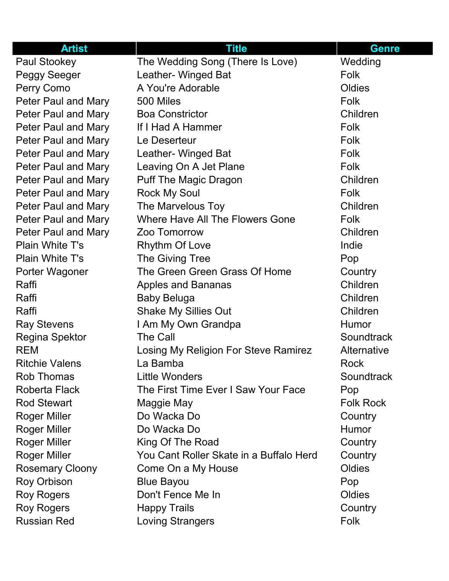| <b>Artist</b>              | <b>Title</b>                            | <b>Genre</b>     |
|----------------------------|-----------------------------------------|------------------|
| <b>Paul Stookey</b>        | The Wedding Song (There Is Love)        | Wedding          |
| <b>Peggy Seeger</b>        | Leather- Winged Bat                     | <b>Folk</b>      |
| Perry Como                 | A You're Adorable                       | Oldies           |
| <b>Peter Paul and Mary</b> | 500 Miles                               | <b>Folk</b>      |
| Peter Paul and Mary        | <b>Boa Constrictor</b>                  | Children         |
| Peter Paul and Mary        | If I Had A Hammer                       | <b>Folk</b>      |
| <b>Peter Paul and Mary</b> | Le Deserteur                            | Folk             |
| Peter Paul and Mary        | Leather- Winged Bat                     | Folk             |
| Peter Paul and Mary        | Leaving On A Jet Plane                  | Folk             |
| Peter Paul and Mary        | <b>Puff The Magic Dragon</b>            | Children         |
| Peter Paul and Mary        | <b>Rock My Soul</b>                     | <b>Folk</b>      |
| <b>Peter Paul and Mary</b> | The Marvelous Toy                       | Children         |
| Peter Paul and Mary        | Where Have All The Flowers Gone         | <b>Folk</b>      |
| Peter Paul and Mary        | Zoo Tomorrow                            | Children         |
| <b>Plain White T's</b>     | <b>Rhythm Of Love</b>                   | Indie            |
| <b>Plain White T's</b>     | The Giving Tree                         | Pop              |
| Porter Wagoner             | The Green Green Grass Of Home           | Country          |
| Raffi                      | <b>Apples and Bananas</b>               | Children         |
| Raffi                      | <b>Baby Beluga</b>                      | Children         |
| Raffi                      | <b>Shake My Sillies Out</b>             | Children         |
| <b>Ray Stevens</b>         | I Am My Own Grandpa                     | Humor            |
| <b>Regina Spektor</b>      | The Call                                | Soundtrack       |
| <b>REM</b>                 | Losing My Religion For Steve Ramirez    | Alternative      |
| <b>Ritchie Valens</b>      | La Bamba                                | <b>Rock</b>      |
| <b>Rob Thomas</b>          | <b>Little Wonders</b>                   | Soundtrack       |
| Roberta Flack              | The First Time Ever I Saw Your Face     | Pop              |
| <b>Rod Stewart</b>         | Maggie May                              | <b>Folk Rock</b> |
| <b>Roger Miller</b>        | Do Wacka Do                             | Country          |
| <b>Roger Miller</b>        | Do Wacka Do                             | <b>Humor</b>     |
| <b>Roger Miller</b>        | King Of The Road                        | Country          |
| <b>Roger Miller</b>        | You Cant Roller Skate in a Buffalo Herd | Country          |
| <b>Rosemary Cloony</b>     | Come On a My House                      | Oldies           |
| <b>Roy Orbison</b>         | <b>Blue Bayou</b>                       | Pop              |
| <b>Roy Rogers</b>          | Don't Fence Me In                       | Oldies           |
| <b>Roy Rogers</b>          | <b>Happy Trails</b>                     | Country          |
| <b>Russian Red</b>         | <b>Loving Strangers</b>                 | Folk             |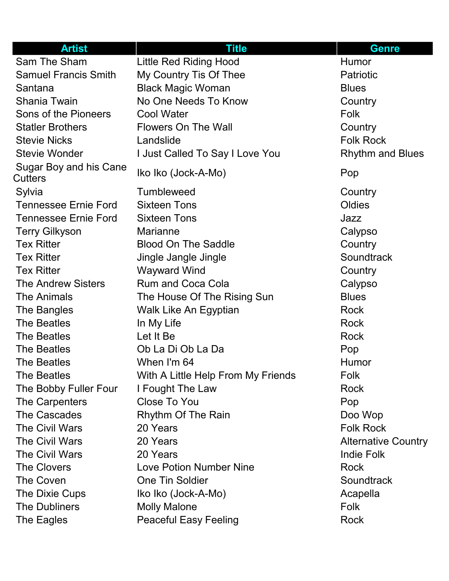| <b>Artist</b>                            | <b>Title</b>                       | <b>Genre</b>               |
|------------------------------------------|------------------------------------|----------------------------|
| Sam The Sham                             | <b>Little Red Riding Hood</b>      | Humor                      |
| <b>Samuel Francis Smith</b>              | My Country Tis Of Thee             | <b>Patriotic</b>           |
| Santana                                  | <b>Black Magic Woman</b>           | <b>Blues</b>               |
| <b>Shania Twain</b>                      | No One Needs To Know               | Country                    |
| Sons of the Pioneers                     | <b>Cool Water</b>                  | <b>Folk</b>                |
| <b>Statler Brothers</b>                  | <b>Flowers On The Wall</b>         | Country                    |
| <b>Stevie Nicks</b>                      | Landslide                          | <b>Folk Rock</b>           |
| <b>Stevie Wonder</b>                     | I Just Called To Say I Love You    | <b>Rhythm and Blues</b>    |
| Sugar Boy and his Cane<br><b>Cutters</b> | Iko Iko (Jock-A-Mo)                | Pop                        |
| Sylvia                                   | <b>Tumbleweed</b>                  | Country                    |
| <b>Tennessee Ernie Ford</b>              | <b>Sixteen Tons</b>                | Oldies                     |
| <b>Tennessee Ernie Ford</b>              | <b>Sixteen Tons</b>                | Jazz                       |
| <b>Terry Gilkyson</b>                    | <b>Marianne</b>                    | Calypso                    |
| <b>Tex Ritter</b>                        | <b>Blood On The Saddle</b>         | Country                    |
| <b>Tex Ritter</b>                        | Jingle Jangle Jingle               | Soundtrack                 |
| <b>Tex Ritter</b>                        | <b>Wayward Wind</b>                | Country                    |
| <b>The Andrew Sisters</b>                | <b>Rum and Coca Cola</b>           | Calypso                    |
| <b>The Animals</b>                       | The House Of The Rising Sun        | <b>Blues</b>               |
| The Bangles                              | Walk Like An Egyptian              | Rock                       |
| The Beatles                              | In My Life                         | Rock                       |
| <b>The Beatles</b>                       | Let It Be                          | <b>Rock</b>                |
| The Beatles                              | Ob La Di Ob La Da                  | Pop                        |
| <b>The Beatles</b>                       | When I'm 64                        | Humor                      |
| <b>The Beatles</b>                       | With A Little Help From My Friends | Folk                       |
| The Bobby Fuller Four                    | I Fought The Law                   | <b>Rock</b>                |
| The Carpenters                           | <b>Close To You</b>                | Pop                        |
| The Cascades                             | Rhythm Of The Rain                 | Doo Wop                    |
| <b>The Civil Wars</b>                    | 20 Years                           | <b>Folk Rock</b>           |
| <b>The Civil Wars</b>                    | 20 Years                           | <b>Alternative Country</b> |
| <b>The Civil Wars</b>                    | 20 Years                           | <b>Indie Folk</b>          |
| <b>The Clovers</b>                       | Love Potion Number Nine            | Rock                       |
| The Coven                                | <b>One Tin Soldier</b>             | Soundtrack                 |
| The Dixie Cups                           | Iko Iko (Jock-A-Mo)                | Acapella                   |
| <b>The Dubliners</b>                     | <b>Molly Malone</b>                | <b>Folk</b>                |
| The Eagles                               | <b>Peaceful Easy Feeling</b>       | <b>Rock</b>                |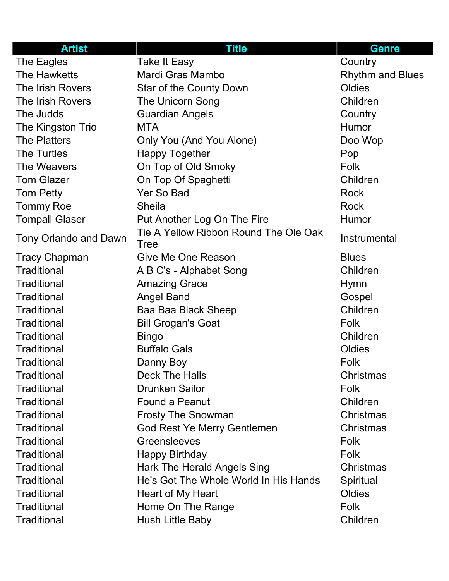| <b>Artist</b>                | <b>Title</b>                                         | <b>Genre</b>            |
|------------------------------|------------------------------------------------------|-------------------------|
| The Eagles                   | <b>Take It Easy</b>                                  | Country                 |
| The Hawketts                 | Mardi Gras Mambo                                     | <b>Rhythm and Blues</b> |
| The Irish Rovers             | <b>Star of the County Down</b>                       | Oldies                  |
| The Irish Rovers             | The Unicorn Song                                     | Children                |
| The Judds                    | <b>Guardian Angels</b>                               | Country                 |
| The Kingston Trio            | <b>MTA</b>                                           | Humor                   |
| <b>The Platters</b>          | Only You (And You Alone)                             | Doo Wop                 |
| <b>The Turtles</b>           | <b>Happy Together</b>                                | Pop                     |
| The Weavers                  | On Top of Old Smoky                                  | <b>Folk</b>             |
| <b>Tom Glazer</b>            | On Top Of Spaghetti                                  | Children                |
| <b>Tom Petty</b>             | Yer So Bad                                           | <b>Rock</b>             |
| <b>Tommy Roe</b>             | <b>Sheila</b>                                        | <b>Rock</b>             |
| <b>Tompall Glaser</b>        | Put Another Log On The Fire                          | Humor                   |
| <b>Tony Orlando and Dawn</b> | Tie A Yellow Ribbon Round The Ole Oak<br><b>Tree</b> | Instrumental            |
| <b>Tracy Chapman</b>         | Give Me One Reason                                   | <b>Blues</b>            |
| <b>Traditional</b>           | A B C's - Alphabet Song                              | Children                |
| <b>Traditional</b>           | <b>Amazing Grace</b>                                 | <b>Hymn</b>             |
| <b>Traditional</b>           | <b>Angel Band</b>                                    | Gospel                  |
| <b>Traditional</b>           | Baa Baa Black Sheep                                  | Children                |
| <b>Traditional</b>           | <b>Bill Grogan's Goat</b>                            | <b>Folk</b>             |
| <b>Traditional</b>           | <b>Bingo</b>                                         | Children                |
| <b>Traditional</b>           | <b>Buffalo Gals</b>                                  | Oldies                  |
| <b>Traditional</b>           | Danny Boy                                            | Folk                    |
| <b>Traditional</b>           | <b>Deck The Halls</b>                                | Christmas               |
| <b>Traditional</b>           | <b>Drunken Sailor</b>                                | <b>Folk</b>             |
| <b>Traditional</b>           | <b>Found a Peanut</b>                                | Children                |
| Traditional                  | <b>Frosty The Snowman</b>                            | Christmas               |
| <b>Traditional</b>           | <b>God Rest Ye Merry Gentlemen</b>                   | Christmas               |
| <b>Traditional</b>           | <b>Greensleeves</b>                                  | <b>Folk</b>             |
| <b>Traditional</b>           | <b>Happy Birthday</b>                                | <b>Folk</b>             |
| <b>Traditional</b>           | Hark The Herald Angels Sing                          | Christmas               |
| <b>Traditional</b>           | He's Got The Whole World In His Hands                | Spiritual               |
| <b>Traditional</b>           | Heart of My Heart                                    | Oldies                  |
| <b>Traditional</b>           | Home On The Range                                    | <b>Folk</b>             |
| <b>Traditional</b>           | Hush Little Baby                                     | Children                |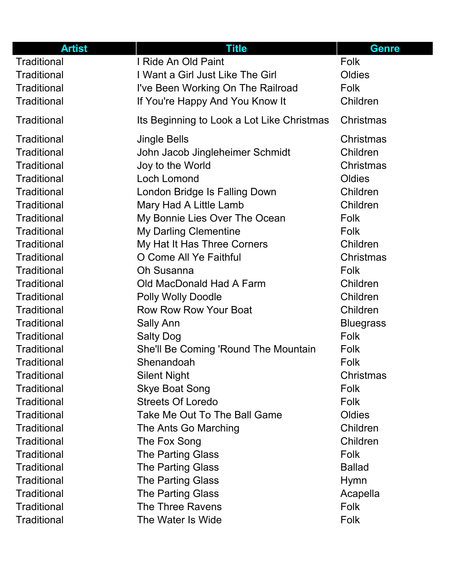| <b>Artist</b>      | <b>Title</b>                               | <b>Genre</b>     |
|--------------------|--------------------------------------------|------------------|
| <b>Traditional</b> | I Ride An Old Paint                        | Folk             |
| Traditional        | I Want a Girl Just Like The Girl           | Oldies           |
| <b>Traditional</b> | I've Been Working On The Railroad          | Folk             |
| Traditional        | If You're Happy And You Know It            | Children         |
| Traditional        | Its Beginning to Look a Lot Like Christmas | Christmas        |
| <b>Traditional</b> | <b>Jingle Bells</b>                        | Christmas        |
| <b>Traditional</b> | John Jacob Jingleheimer Schmidt            | Children         |
| <b>Traditional</b> | Joy to the World                           | <b>Christmas</b> |
| <b>Traditional</b> | <b>Loch Lomond</b>                         | Oldies           |
| Traditional        | London Bridge Is Falling Down              | Children         |
| Traditional        | Mary Had A Little Lamb                     | Children         |
| <b>Traditional</b> | My Bonnie Lies Over The Ocean              | Folk             |
| Traditional        | My Darling Clementine                      | <b>Folk</b>      |
| <b>Traditional</b> | My Hat It Has Three Corners                | Children         |
| Traditional        | O Come All Ye Faithful                     | Christmas        |
| <b>Traditional</b> | <b>Oh Susanna</b>                          | Folk             |
| Traditional        | Old MacDonald Had A Farm                   | Children         |
| <b>Traditional</b> | <b>Polly Wolly Doodle</b>                  | Children         |
| Traditional        | <b>Row Row Row Your Boat</b>               | Children         |
| Traditional        | <b>Sally Ann</b>                           | <b>Bluegrass</b> |
| Traditional        | <b>Salty Dog</b>                           | <b>Folk</b>      |
| Traditional        | She'll Be Coming 'Round The Mountain       | <b>Folk</b>      |
| Traditional        | Shenandoah                                 | Folk             |
| <b>Traditional</b> | <b>Silent Night</b>                        | Christmas        |
| <b>Traditional</b> | <b>Skye Boat Song</b>                      | Folk             |
| <b>Traditional</b> | <b>Streets Of Loredo</b>                   | <b>Folk</b>      |
| <b>Traditional</b> | Take Me Out To The Ball Game               | Oldies           |
| <b>Traditional</b> | The Ants Go Marching                       | Children         |
| Traditional        | The Fox Song                               | Children         |
| <b>Traditional</b> | <b>The Parting Glass</b>                   | <b>Folk</b>      |
| Traditional        | <b>The Parting Glass</b>                   | <b>Ballad</b>    |
| <b>Traditional</b> | <b>The Parting Glass</b>                   | <b>Hymn</b>      |
| Traditional        | <b>The Parting Glass</b>                   | Acapella         |
| <b>Traditional</b> | <b>The Three Ravens</b>                    | <b>Folk</b>      |
| <b>Traditional</b> | The Water Is Wide                          | Folk             |